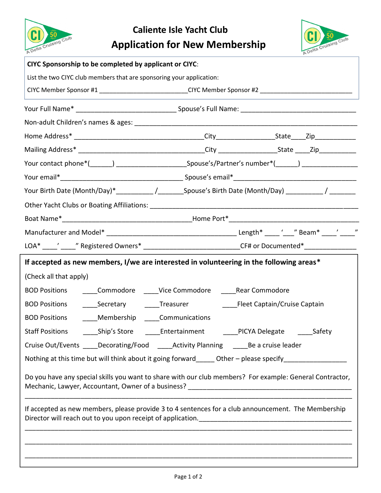



| CIYC Sponsorship to be completed by applicant or CIYC:               |                                                                                                                                  |  |
|----------------------------------------------------------------------|----------------------------------------------------------------------------------------------------------------------------------|--|
| List the two CIYC club members that are sponsoring your application: |                                                                                                                                  |  |
|                                                                      | CIYC Member Sponsor #1 ____________________________CIYC Member Sponsor #2 __________________________                             |  |
|                                                                      |                                                                                                                                  |  |
|                                                                      |                                                                                                                                  |  |
|                                                                      |                                                                                                                                  |  |
|                                                                      |                                                                                                                                  |  |
|                                                                      | Your contact phone*(______) _____________________________Spouse's/Partner's number*(______) _________________                    |  |
|                                                                      |                                                                                                                                  |  |
|                                                                      | Your Birth Date (Month/Day)*___________/_________Spouse's Birth Date (Month/Day) __________/ ________                            |  |
|                                                                      |                                                                                                                                  |  |
|                                                                      |                                                                                                                                  |  |
|                                                                      |                                                                                                                                  |  |
|                                                                      | LOA* _____' _____" Registered Owners* _______________________________CF# or Documented*__________________                        |  |
|                                                                      | If accepted as new members, I/we are interested in volunteering in the following areas*                                          |  |
| (Check all that apply)                                               |                                                                                                                                  |  |
| <b>BOD Positions</b>                                                 | _____Commodore _____Vice Commodore ______Rear Commodore                                                                          |  |
|                                                                      | BOD Positions ________Secretary ______________Treasurer _____________________Fleet Captain/Cruise Captain                        |  |
| Membership _____Communications<br><b>BOD Positions</b>               |                                                                                                                                  |  |
| <b>Staff Positions</b><br>_____Ship's Store                          | _____Entertainment<br>_____PICYA Delegate _____<br>Safety                                                                        |  |
|                                                                      | Cruise Out/Events _____Decorating/Food _____Activity Planning ______Be a cruise leader                                           |  |
|                                                                      | Nothing at this time but will think about it going forward_____ Other - please specify______________<br>$\overline{\phantom{a}}$ |  |
|                                                                      | Do you have any special skills you want to share with our club members? For example: General Contractor,                         |  |
|                                                                      | If accepted as new members, please provide 3 to 4 sentences for a club announcement. The Membership                              |  |
|                                                                      |                                                                                                                                  |  |
|                                                                      |                                                                                                                                  |  |
|                                                                      |                                                                                                                                  |  |